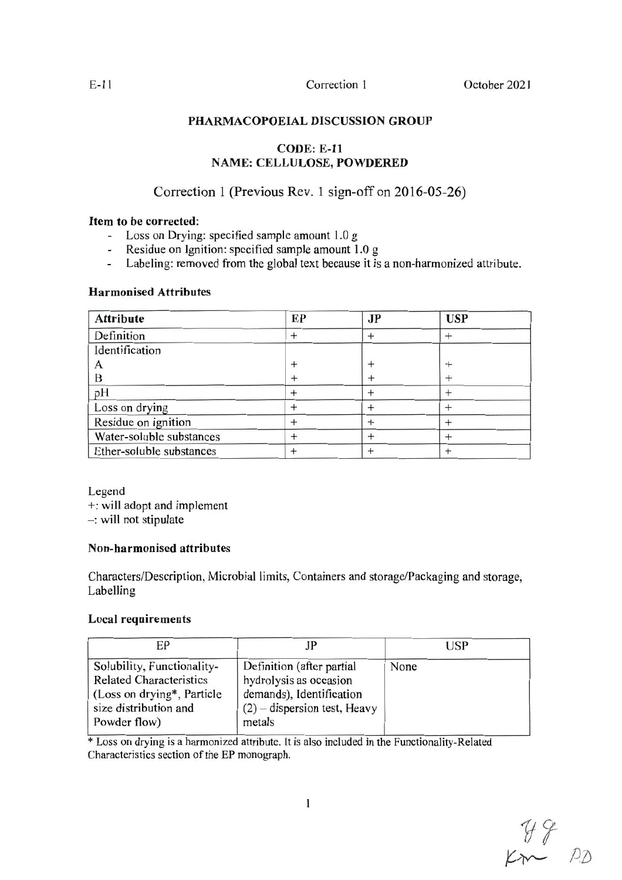## PHARMACOPOEIAL DISCUSSION GROUP

## **CODE: E-11 NAME: CELLULOSE, POWDERED**

# Correction 1 (Previous Rev. 1 sign-off on 2016-05-26)

## Item to be corrected:

- Loss on Drying: specified sample amount 1.0 g
- Residue on Ignition: specified sample amount 1.0 g  $\mathcal{L}^{\mathcal{L}}$
- Labeling: removed from the global text because it is a non-harmonized attribute.  $\overline{a}$

## **Harmonised Attributes**

| <b>Attribute</b>         | EP | <b>JP</b> | <b>USP</b> |
|--------------------------|----|-----------|------------|
| Definition               |    |           |            |
| Identification           |    |           |            |
|                          |    |           |            |
| B                        |    |           |            |
| pH                       |    |           |            |
| Loss on drying           |    |           |            |
| Residue on ignition      |    |           |            |
| Water-soluble substances |    |           |            |
| Ether-soluble substances |    |           |            |

Legend

+: will adopt and implement

 $-$ : will not stipulate

## **Non-harmonised attributes**

Characters/Description, Microbial limits, Containers and storage/Packaging and storage, Labelling

## **Local requirements**

| EP                                                                                                                                   | IP                                                                                                                          | <b>USP</b> |
|--------------------------------------------------------------------------------------------------------------------------------------|-----------------------------------------------------------------------------------------------------------------------------|------------|
| Solubility, Functionality-<br><b>Related Characteristics</b><br>(Loss on drying*, Particle)<br>size distribution and<br>Powder flow) | Definition (after partial<br>hydrolysis as occasion<br>demands), Identification<br>$(2)$ – dispersion test, Heavy<br>metals | None       |

\* Loss on drying is a harmonized attribute. It is also included in the Functionality-Related Characteristics section of the EP monograph.

 $79$ <br>Km  $p_{D}$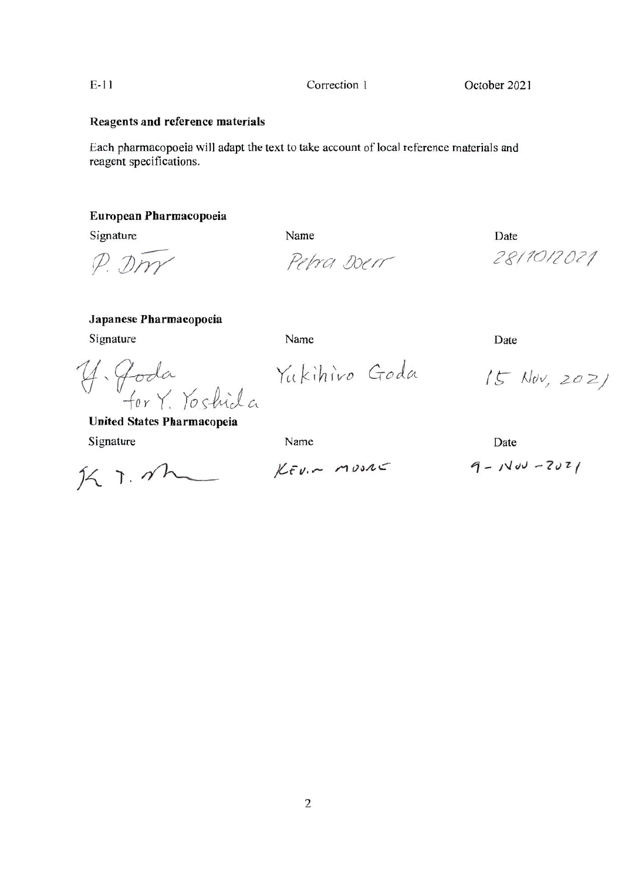$\overline{2}$ 

Correction 1

October 2021

## **Reagents and reference materials**

Each pharmacopoeia will adapt the text to take account of local reference materials and reagent specifications.

Name

## European Pharmacopoeia

Signature

P. Dm

Petra Doer

Date 28/10/2021

#### Japanese Pharmacopoeia

Signature

Name

Y. Goda<br>for Y. Yoshida

Yukihiro Goda

 $15$  Nov, 2021

**United States Pharmacopeia** 

Signature

 $K$  T. The

 $K_F v \sim m \nu S A C$ 

Name

Date

Date

 $9 - 1400 - 2021$ 

 $E-11$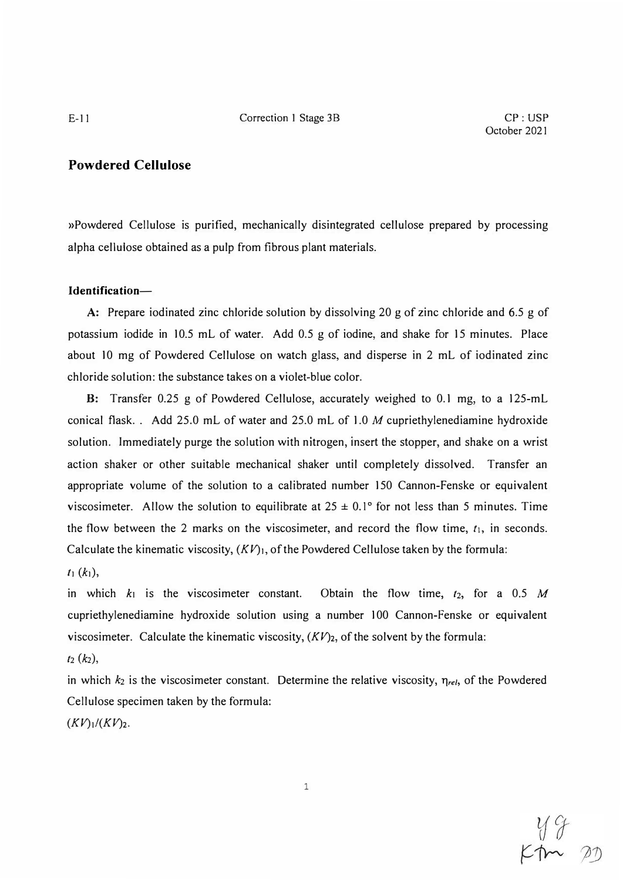## **Powdered Cellulose**

»Powdered Cellulose is purified, mechanically disintegrated cellulose prepared by processing alpha cellulose obtained as a pulp from fibrous plant materials.

### **ldentification-**

A: Prepare iodinated zinc chloride solution by dissolving 20 g of zinc chloride and 6.5 g of potassium iodide in 10.5 mL of water. Add 0.5 g of iodine, and shake for 15 minutes. Place about 10 mg of Powdered Cellulose on watch glass, and disperse in 2 mL of iodinated zinc chloride solution: the substance takes on a violet-blue color.

B: Transfer 0.25 g of Powdered Cellulose, accurately weighed to 0.1 mg, to a 125-mL conical flask. . Add 25.0 mL of water and 25.0 mL of 1.0 *M* cupriethylenediamine hydroxide solution. Immediately purge the solution with nitrogen, insert the stopper, and shake on a wrist action shaker or other suitable mechanical shaker until completely dissolved. Transfer an appropriate volume of the solution to a calibrated number 150 Cannon-Fenske or equivalent viscosimeter. Allow the solution to equilibrate at  $25 \pm 0.1^\circ$  for not less than 5 minutes. Time the flow between the 2 marks on the viscosimeter, and record the flow time,  $t_1$ , in seconds. Calculate the kinematic viscosity, *(KV)1,* of the Powdered Cellulose taken by the formula:

 $t_1 (k_1),$ 

in which  $k_1$  is the viscosimeter constant. Obtain the flow time,  $t_2$ , for a 0.5 M cupriethylenediamine hydroxide solution using a number 100 Cannon-Fenske or equivalent viscosimeter. Calculate the kinematic viscosity,  $(KV)_2$ , of the solvent by the formula:

# *t2 (k2),*

in which  $k_2$  is the viscosimeter constant. Determine the relative viscosity,  $\eta_{rel}$ , of the Powdered Cellulose specimen taken by the formula:

 $(KV)_{1}/(KV)_{2}.$ 

 $rac{y}{r}$